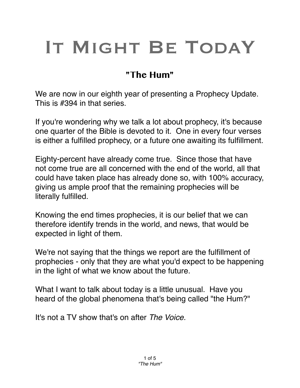# IT MIGHT BE TODAY

## **"The Hum"**

We are now in our eighth year of presenting a Prophecy Update. This is #394 in that series.

If you're wondering why we talk a lot about prophecy, it's because one quarter of the Bible is devoted to it. One in every four verses is either a fulfilled prophecy, or a future one awaiting its fulfillment.

Eighty-percent have already come true. Since those that have not come true are all concerned with the end of the world, all that could have taken place has already done so, with 100% accuracy, giving us ample proof that the remaining prophecies will be literally fulfilled.

Knowing the end times prophecies, it is our belief that we can therefore identify trends in the world, and news, that would be expected in light of them.

We're not saying that the things we report are the fulfillment of prophecies - only that they are what you'd expect to be happening in the light of what we know about the future.

What I want to talk about today is a little unusual. Have you heard of the global phenomena that's being called "the Hum?"

It's not a TV show that's on after *The Voice.*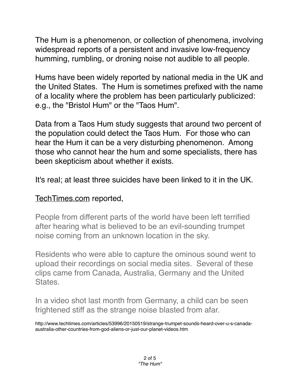The Hum is a phenomenon, or collection of phenomena, involving widespread reports of a persistent and invasive low-frequency humming, rumbling, or droning noise not audible to all people.

Hums have been widely reported by national media in the UK and the United States. The Hum is sometimes prefixed with the name of a locality where the problem has been particularly publicized: e.g., the "Bristol Hum" or the "Taos Hum".

Data from a Taos Hum study suggests that around two percent of the population could detect the Taos Hum. For those who can hear the Hum it can be a very disturbing phenomenon. Among those who cannot hear the hum and some specialists, there has been skepticism about whether it exists.

It's real; at least three suicides have been linked to it in the UK.

#### [TechTimes.com](http://TechTimes.com) reported,

People from different parts of the world have been left terrified after hearing what is believed to be an evil-sounding trumpet noise coming from an unknown location in the sky.

Residents who were able to capture the ominous sound went to upload their recordings on social media sites. Several of these clips came from Canada, Australia, Germany and the United States.

In a video shot last month from Germany, a child can be seen frightened stiff as the strange noise blasted from afar.

http://www.techtimes.com/articles/53996/20150519/strange-trumpet-sounds-heard-over-u-s-canadaaustralia-other-countries-from-god-aliens-or-just-our-planet-videos.htm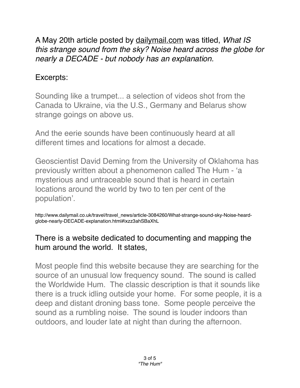A May 20th article posted by [dailymail.com](http://dailymail.com) was titled, *What IS this strange sound from the sky? Noise heard across the globe for nearly a DECADE - but nobody has an explanation.*

### Excerpts:

Sounding like a trumpet... a selection of videos shot from the Canada to Ukraine, via the U.S., Germany and Belarus show strange goings on above us.

And the eerie sounds have been continuously heard at all different times and locations for almost a decade.

Geoscientist David Deming from the University of Oklahoma has previously written about a phenomenon called The Hum - 'a mysterious and untraceable sound that is heard in certain locations around the world by two to ten per cent of the population'.

http://www.dailymail.co.uk/travel/travel\_news/article-3084260/What-strange-sound-sky-Noise-heardglobe-nearly-DECADE-explanation.html#ixzz3ahSBaXhL

#### There is a website dedicated to documenting and mapping the hum around the world. It states,

Most people find this website because they are searching for the source of an unusual low frequency sound. The sound is called the Worldwide Hum. The classic description is that it sounds like there is a truck idling outside your home. For some people, it is a deep and distant droning bass tone. Some people perceive the sound as a rumbling noise. The sound is louder indoors than outdoors, and louder late at night than during the afternoon.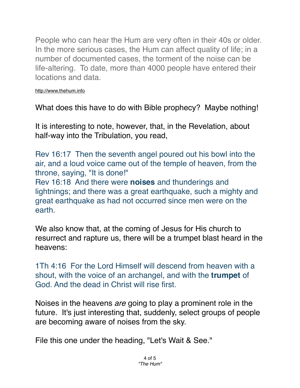People who can hear the Hum are very often in their 40s or older. In the more serious cases, the Hum can affect quality of life; in a number of documented cases, the torment of the noise can be life-altering. To date, more than 4000 people have entered their locations and data.

#### <http://www.thehum.info>

What does this have to do with Bible prophecy? Maybe nothing!

It is interesting to note, however, that, in the Revelation, about half-way into the Tribulation, you read,

Rev 16:17 Then the seventh angel poured out his bowl into the air, and a loud voice came out of the temple of heaven, from the throne, saying, "It is done!"

Rev 16:18 And there were **noises** and thunderings and lightnings; and there was a great earthquake, such a mighty and great earthquake as had not occurred since men were on the earth.

We also know that, at the coming of Jesus for His church to resurrect and rapture us, there will be a trumpet blast heard in the heavens:

1Th 4:16 For the Lord Himself will descend from heaven with a shout, with the voice of an archangel, and with the **trumpet** of God. And the dead in Christ will rise first.

Noises in the heavens *are* going to play a prominent role in the future. It's just interesting that, suddenly, select groups of people are becoming aware of noises from the sky.

File this one under the heading, "Let's Wait & See."